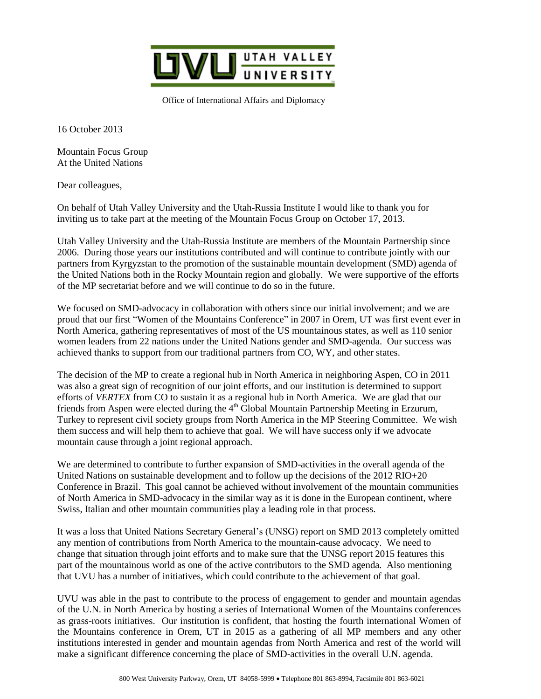

Office of International Affairs and Diplomacy

16 October 2013

Mountain Focus Group At the United Nations

Dear colleagues,

On behalf of Utah Valley University and the Utah-Russia Institute I would like to thank you for inviting us to take part at the meeting of the Mountain Focus Group on October 17, 2013.

Utah Valley University and the Utah-Russia Institute are members of the Mountain Partnership since 2006. During those years our institutions contributed and will continue to contribute jointly with our partners from Kyrgyzstan to the promotion of the sustainable mountain development (SMD) agenda of the United Nations both in the Rocky Mountain region and globally. We were supportive of the efforts of the MP secretariat before and we will continue to do so in the future.

We focused on SMD-advocacy in collaboration with others since our initial involvement; and we are proud that our first "Women of the Mountains Conference" in 2007 in Orem, UT was first event ever in North America, gathering representatives of most of the US mountainous states, as well as 110 senior women leaders from 22 nations under the United Nations gender and SMD-agenda. Our success was achieved thanks to support from our traditional partners from CO, WY, and other states.

The decision of the MP to create a regional hub in North America in neighboring Aspen, CO in 2011 was also a great sign of recognition of our joint efforts, and our institution is determined to support efforts of *VERTEX* from CO to sustain it as a regional hub in North America. We are glad that our friends from Aspen were elected during the  $4<sup>th</sup>$  Global Mountain Partnership Meeting in Erzurum, Turkey to represent civil society groups from North America in the MP Steering Committee. We wish them success and will help them to achieve that goal. We will have success only if we advocate mountain cause through a joint regional approach.

We are determined to contribute to further expansion of SMD-activities in the overall agenda of the United Nations on sustainable development and to follow up the decisions of the  $2012 \text{ RIO} + 20$ Conference in Brazil. This goal cannot be achieved without involvement of the mountain communities of North America in SMD-advocacy in the similar way as it is done in the European continent, where Swiss, Italian and other mountain communities play a leading role in that process.

It was a loss that United Nations Secretary General's (UNSG) report on SMD 2013 completely omitted any mention of contributions from North America to the mountain-cause advocacy. We need to change that situation through joint efforts and to make sure that the UNSG report 2015 features this part of the mountainous world as one of the active contributors to the SMD agenda. Also mentioning that UVU has a number of initiatives, which could contribute to the achievement of that goal.

UVU was able in the past to contribute to the process of engagement to gender and mountain agendas of the U.N. in North America by hosting a series of International Women of the Mountains conferences as grass-roots initiatives. Our institution is confident, that hosting the fourth international Women of the Mountains conference in Orem, UT in 2015 as a gathering of all MP members and any other institutions interested in gender and mountain agendas from North America and rest of the world will make a significant difference concerning the place of SMD-activities in the overall U.N. agenda.